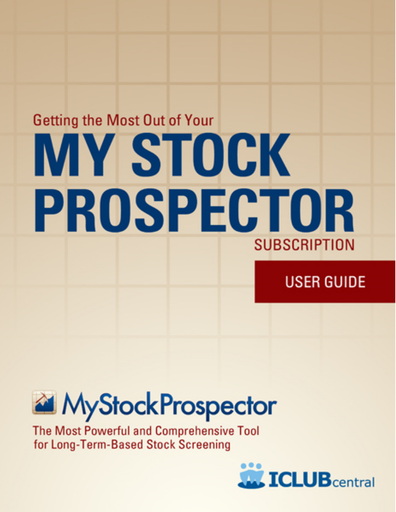# **Getting the Most Out of Your MY STOCK** PROSPECTOR SUBSCRIPTION

### **USER GUIDE**



The Most Powerful and Comprehensive Tool for Long-Term-Based Stock Screening

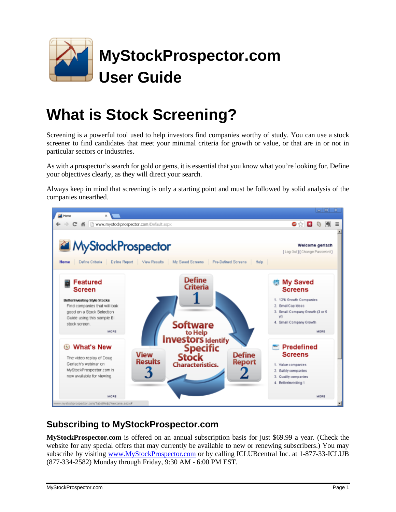

### **What is Stock Screening?**

Screening is a powerful tool used to help investors find companies worthy of study. You can use a stock screener to find candidates that meet your minimal criteria for growth or value, or that are in or not in particular sectors or industries.

As with a prospector's search for gold or gems, it is essential that you know what you're looking for. Define your objectives clearly, as they will direct your search.

Always keep in mind that screening is only a starting point and must be followed by solid analysis of the companies unearthed.



#### **Subscribing to MyStockProspector.com**

**MyStockProspector.com** is offered on an annual subscription basis for just \$69.99 a year. (Check the website for any special offers that may currently be available to new or renewing subscribers.) You may subscribe by visiting [www.MyStockProspector.com](http://www.MyStockProspector.com) or by calling ICLUBcentral Inc. at 1-877-33-ICLUB (877-334-2582) Monday through Friday, 9:30 AM - 6:00 PM EST.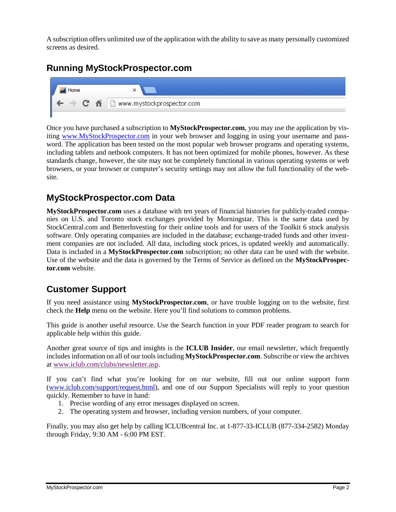A subscription offers unlimited use of the application with the ability to save as many personally customized screens as desired.

#### **Running MyStockProspector.com**



Once you have purchased a subscription to **MyStockProspector.com**, you may use the application by visiting [www.MyStockProspector.com](http://www.MyStockProspector.com) in your web browser and logging in using your username and password. The application has been tested on the most popular web browser programs and operating systems, including tablets and netbook computers. It has not been optimized for mobile phones, however. As these standards change, however, the site may not be completely functional in various operating systems or web browsers, or your browser or computer's security settings may not allow the full functionality of the website.

#### **MyStockProspector.com Data**

**MyStockProspector.com** uses a database with ten years of financial histories for publicly-traded companies on U.S. and Toronto stock exchanges provided by Morningstar. This is the same data used by StockCentral.com and BetterInvesting for their online tools and for users of the Toolkit 6 stock analysis software. Only operating companies are included in the database; exchange-traded funds and other investment companies are not included. All data, including stock prices, is updated weekly and automatically. Data is included in a **MyStockProspector.com** subscription; no other data can be used with the website. Use of the website and the data is governed by the Terms of Service as defined on the **MyStockProspector.com** website.

#### **Customer Support**

If you need assistance using **MyStockProspector.com**, or have trouble logging on to the website, first check the **Help** menu on the website. Here you'll find solutions to common problems.

This guide is another useful resource. Use the Search function in your PDF reader program to search for applicable help within this guide.

Another great source of tips and insights is the **ICLUB Insider**, our email newsletter, which frequently includesinformation on all of our toolsincluding **MyStockProspector.com**. Subscribe or view the archives at [www.iclub.com/clubs/newsletter.asp](http://www.iclub.com/clubs/newsletter.asp).

If you can't find what you're looking for on our website, fill out our online support form ([www.iclub.com/support/request.html\)](http://www.iclub.com/support/request.html), and one of our Support Specialists will reply to your question quickly. Remember to have in hand:

- 1. Precise wording of any error messages displayed on screen.
- 2. The operating system and browser, including version numbers, of your computer.

Finally, you may also get help by calling ICLUBcentral Inc. at 1-877-33-ICLUB (877-334-2582) Monday through Friday, 9:30 AM - 6:00 PM EST.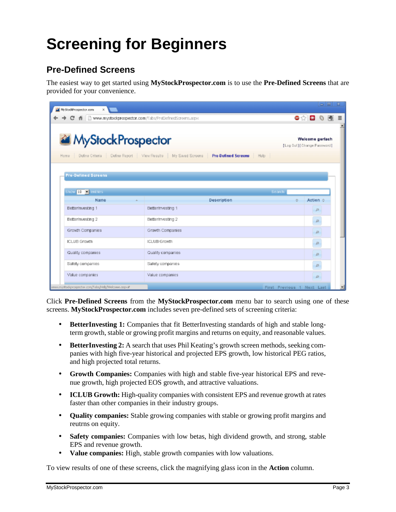## **Screening for Beginners**

#### **Pre-Defined Screens**

The easiest way to get started using **MyStockProspector.com** is to use the **Pre-Defined Screens** that are provided for your convenience.

| MyStockProspector.com<br>$\propto$                            |                                                                                                               |                 | $\overline{\phantom{a}}$ $\overline{\phantom{a}}$ |   |
|---------------------------------------------------------------|---------------------------------------------------------------------------------------------------------------|-----------------|---------------------------------------------------|---|
| 6 http://www.mystockprospector.com/Tabs/PreDefnedScreens.aspx |                                                                                                               | ●☆■             | o                                                 | Ξ |
| MyStockProspector<br>Dofine Criteria<br>Hame                  | [Log Out] [ Change Password]<br>Define Report   View Results   My Saved Screens   Pre-Defined Screens<br>Help | Welcome gerlach |                                                   |   |
| <b>Pre-Defined Screens</b><br>Show 10   entries               | Search                                                                                                        |                 |                                                   |   |
| Name                                                          | Description<br>O.                                                                                             | Action o        |                                                   |   |
| Betterinvesting 1                                             | Betterinvesting 1                                                                                             | д               |                                                   |   |
| Betterinvesting 2                                             | Betterinvesting 2                                                                                             | $\mathcal{L}$   |                                                   |   |
| Growth Companies                                              | Growth Companies                                                                                              | $\mathcal{L}$   |                                                   |   |
| <b>ICLUB Grawth</b>                                           | <b>ICLUB Growth</b>                                                                                           | $\mathcal{L}$   |                                                   |   |
| Quality companies                                             | Quality companies                                                                                             | Д               |                                                   |   |
| Safety companies                                              | Safety companies                                                                                              | Д               |                                                   |   |
| Value companies                                               | Value companies                                                                                               | $\mathcal{L}$   |                                                   |   |
| www.mystodgeospector.con/Tabs/Help/Welcome.aspx#              | First Previous 1 Next Last                                                                                    |                 |                                                   |   |

Click **Pre-Defined Screens** from the **MyStockProspector.com** menu bar to search using one of these screens. **MyStockProspector.com** includes seven pre-defined sets of screening criteria:

- **BetterInvesting 1:** Companies that fit BetterInvesting standards of high and stable longterm growth, stable or growing profit margins and returns on equity, and reasonable values.
- **BetterInvesting 2:** A search that uses Phil Keating's growth screen methods, seeking companies with high five-year historical and projected EPS growth, low historical PEG ratios, and high projected total returns.
- **Growth Companies:** Companies with high and stable five-year historical EPS and revenue growth, high projected EOS growth, and attractive valuations.
- **ICLUB Growth:** High-quality companies with consistent EPS and revenue growth at rates faster than other companies in their industry groups.
- **Quality companies:** Stable growing companies with stable or growing profit margins and reutrns on equity.
- **Safety companies:** Companies with low betas, high dividend growth, and strong, stable EPS and revenue growth.
- **Value companies:** High, stable growth companies with low valuations.

To view results of one of these screens, click the magnifying glass icon in the **Action** column.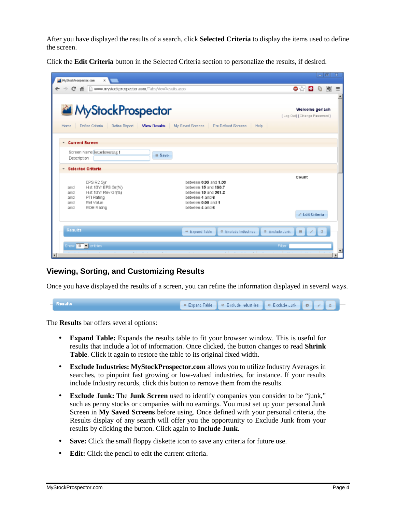After you have displayed the results of a search, click **Selected Criteria** to display the items used to define the screen.

Click the **Edit Criteria** button in the Selected Criteria section to personalize the results, if desired.

| MyStockProspector.com<br>$\times$                                                                                                                                                                                                                                          |                                                | $= 0$ $x$ |   |
|----------------------------------------------------------------------------------------------------------------------------------------------------------------------------------------------------------------------------------------------------------------------------|------------------------------------------------|-----------|---|
| → C ff [ ] www.mystockprospector.com/Tabs/ViewResults.aspx                                                                                                                                                                                                                 | .                                              |           | Ξ |
| MyStockProspector<br>Define Criteria<br>Define Report   View Results   My Saved Screens   Pre-Defined Screens<br>Home<br>Help                                                                                                                                              | Welcome geriach<br>[Log Out] [Change Password] |           |   |
| <b>Current Screen</b><br>$\mathbf{v}$<br>Screen Name BetterInvesting 1<br><b>B</b> Save                                                                                                                                                                                    |                                                |           |   |
| Description                                                                                                                                                                                                                                                                |                                                |           |   |
| <b>Selected Criteria</b><br>$\scriptstyle\rm w$                                                                                                                                                                                                                            |                                                |           |   |
| between 0.95 and 1.00<br>EPS R2 5yr<br>between 15 and 190.7<br>Hist 10Yr EPS Gr(%)<br>and<br>Hist 10Yr Rev Gr(%)<br>between 15 and 361.2<br>and<br>PTI Rating<br>between 4 and 6<br>and<br>Rell Value<br>between 0.00 and 1<br>and<br>between 4 and 6<br>ROE Rating<br>and | Count                                          |           |   |
|                                                                                                                                                                                                                                                                            | / Edit Criteria                                |           |   |
| Results<br># Expand Table<br><sup>®</sup> Exclude Industries<br>Show 10 - entries                                                                                                                                                                                          | @ Exclude Junk B / B<br>Filter                 |           |   |
| $-1$<br>$\mathbf{a}$ and $\mathbf{a}$<br>н                                                                                                                                                                                                                                 |                                                |           |   |

#### **Viewing, Sorting, and Customizing Results**

Once you have displayed the results of a screen, you can refine the information displayed in several ways.

| <b>Results</b> | <b>Expanding the Control of Scott Section of the Control of Control of Control of Control of Control of Control of Control of Control of Control of Control of Control of Control of Control of Control of Control of Control of</b> |  |  |  |
|----------------|--------------------------------------------------------------------------------------------------------------------------------------------------------------------------------------------------------------------------------------|--|--|--|
|                |                                                                                                                                                                                                                                      |  |  |  |

The **Results** bar offers several options:

- **Expand Table:** Expands the results table to fit your browser window. This is useful for results that include a lot of information. Once clicked, the button changes to read **Shrink Table**. Click it again to restore the table to its original fixed width.
- **Exclude Industries: MyStockProspector.com** allows you to utilize Industry Averages in searches, to pinpoint fast growing or low-valued industries, for instance. If your results include Industry records, click this button to remove them from the results.
- **Exclude Junk:** The **Junk Screen** used to identify companies you consider to be "junk," such as penny stocks or companies with no earnings. You must set up your personal Junk Screen in **My Saved Screens** before using. Once defined with your personal criteria, the Results display of any search will offer you the opportunity to Exclude Junk from your results by clicking the button. Click again to **Include Junk**.
- **Save:** Click the small floppy diskette icon to save any criteria for future use.
- **Edit:** Click the pencil to edit the current criteria.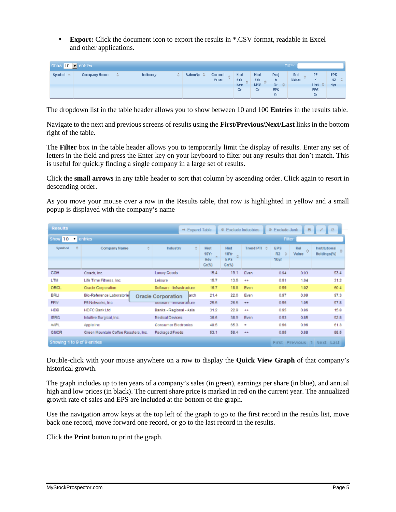• **Export:** Click the document icon to export the results in \*.CSV format, readable in Excel and other applications.

|            | Show II T entries<br>Filter. |                          |   |               |                                     |                                       |                              |                                 |                        |                     |                         |
|------------|------------------------------|--------------------------|---|---------------|-------------------------------------|---------------------------------------|------------------------------|---------------------------------|------------------------|---------------------|-------------------------|
| Symbol $-$ | Company Hours                | <b>Included</b> by:<br>÷ | € | Sales (3) (3) | Contrad.<br>$\sim$<br>$-2$<br>Price | Hisd<br>$-$ differences<br><b>Rew</b> | Hiad<br>6YB<br>$UFS$ $\odot$ | Print<br>û.<br>$\Diamond$<br>V. | $\Pi$ : $\Pi$<br>Value | <b>PF</b><br>That C | FPS.<br>$RZ = 0$<br>907 |
|            |                              |                          |   |               |                                     | Gr                                    | Gn                           | FPS.<br>Gr.                     |                        | FPS.<br>Gi.         |                         |

The dropdown list in the table header allows you to show between 10 and 100 **Entries** in the results table.

Navigate to the next and previous screens of results using the **First/Previous/Next/Last** links in the bottom right of the table.

The **Filter** box in the table header allows you to temporarily limit the display of results. Enter any set of letters in the field and press the Enter key on your keyboard to filter out any results that don't match. This is useful for quickly finding a single company in a large set of results.

Click the **small arrows** in any table header to sort that column by ascending order. Click again to resort in descending order.

As you move your mouse over a row in the Results table, that row is highlighted in yellow and a small popup is displayed with the company's name

| <b>Results</b>              |                                    |                                      |   |                                   | ** Expand Table |                                     | C Exclude Industries                              |                             | <sup>®</sup> Exclude Junk       | $\blacksquare$     | $\Box$<br>ı                       |
|-----------------------------|------------------------------------|--------------------------------------|---|-----------------------------------|-----------------|-------------------------------------|---------------------------------------------------|-----------------------------|---------------------------------|--------------------|-----------------------------------|
| Show 10                     | <b>v</b> entries<br><b>Filter:</b> |                                      |   |                                   |                 |                                     |                                                   |                             |                                 |                    |                                   |
| Symbol                      | ÷                                  | Company Name                         | ÷ | <b>Industry</b>                   | ÷.              | Hist<br><b>10Yr</b><br>Rev<br>Gr(5) | <b>Hist</b><br><b>10Yr</b><br><b>EPS</b><br>Gr(5) | Trend PTI $\textcircled{z}$ | <b>EPS</b><br>R2<br>- 6<br>10yr | Rel<br>Ò.<br>Value | Institutional<br>ů<br>Holdings(%) |
| COH                         |                                    | Coach, Inc.                          |   | <b>Luxury Goods</b>               |                 | 15.4                                | 19.1                                              | Even                        | 0.94                            | 0.93               | 93.4                              |
| <b>LTM</b>                  |                                    | Life Time Filmess, Inc.              |   | Leisure                           |                 | 15.7                                | 13.5                                              | $++$                        | 0.91                            | 1.04               | 31.2                              |
| ORCL                        |                                    | <b>Oracle Corporation</b>            |   | Software - Infrastructure         |                 | 16.7                                | 18.8                                              | Even                        | 0.99                            | 1.02               | 60.4                              |
| BRLI                        |                                    | Bio-Reference Laboratorie            |   | <b>Oracle Corporation</b>         | <b>Jarch</b>    | 21.4                                | 22.6                                              | Even                        | 0.97                            | 0.99               | 97.3                              |
| <b>FFIV</b>                 |                                    | F5 Networks, Inc.                    |   | <del>sunware - innasirudure</del> |                 | 25.5                                | 26.6                                              | **                          | 0.95                            | 1.05               | 97.8                              |
| <b>HDB</b>                  |                                    | <b>HDFC Bank Ltd</b>                 |   | Banks - Regional - Asia           |                 | 31.2                                | 22.9                                              | $++$                        | 0.95                            | 0.86               | 15.8                              |
| <b>ISRG</b>                 |                                    | Intuitive Surgical, Inc.             |   | <b>Medical Devices</b>            |                 | 36.6                                | 38.9                                              | Even                        | 0.93                            | 0.85               | 92.8                              |
| AAPL                        |                                    | Apple Inc.                           |   | <b>Consumer Electronics</b>       |                 | 40.6                                | 65.3                                              | ۰                           | 0.96                            | 0.96               | 61.3                              |
| <b>GMCR</b>                 |                                    | Green Mountain Coffee Roasters, Inc. |   | Packaged Foods                    |                 | 53.1                                | 58.4                                              | $++$                        | 0.95                            | 0.88               | 88.5                              |
| Showing 1 to 9 of 9 entries |                                    |                                      |   |                                   |                 |                                     |                                                   |                             |                                 | First Previous     | 1 Next Last                       |

Double-click with your mouse anywhere on a row to display the **Quick View Graph** of that company's historical growth.

The graph includes up to ten years of a company's sales (in green), earnings per share (in blue), and annual high and low prices (in black). The current share price is marked in red on the current year. The annualized growth rate of sales and EPS are included at the bottom of the graph.

Use the navigation arrow keys at the top left of the graph to go to the first record in the results list, move back one record, move forward one record, or go to the last record in the results.

Click the **Print** button to print the graph.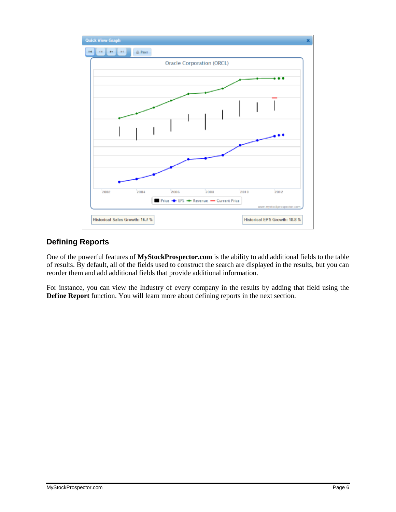

#### **Defining Reports**

One of the powerful features of **MyStockProspector.com** is the ability to add additional fields to the table of results. By default, all of the fields used to construct the search are displayed in the results, but you can reorder them and add additional fields that provide additional information.

For instance, you can view the Industry of every company in the results by adding that field using the **Define Report** function. You will learn more about defining reports in the next section.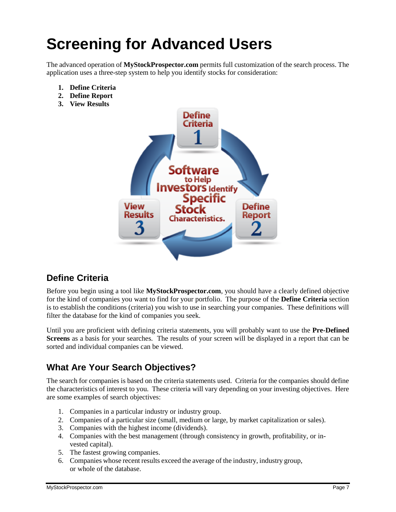### **Screening for Advanced Users**

The advanced operation of **MyStockProspector.com** permits full customization of the search process. The application uses a three-step system to help you identify stocks for consideration:

- **1. Define Criteria**
- **2. Define Report**
- **3. View Results**



#### **Define Criteria**

Before you begin using a tool like **MyStockProspector.com**, you should have a clearly defined objective for the kind of companies you want to find for your portfolio. The purpose of the **Define Criteria** section is to establish the conditions (criteria) you wish to use in searching your companies. These definitions will filter the database for the kind of companies you seek.

Until you are proficient with defining criteria statements, you will probably want to use the **Pre-Defined Screens** as a basis for your searches. The results of your screen will be displayed in a report that can be sorted and individual companies can be viewed.

#### **What Are Your Search Objectives?**

The search for companies is based on the criteria statements used. Criteria for the companies should define the characteristics of interest to you. These criteria will vary depending on your investing objectives. Here are some examples of search objectives:

- 1. Companies in a particular industry or industry group.
- 2. Companies of a particular size (small, medium or large, by market capitalization or sales).
- 3. Companies with the highest income (dividends).
- 4. Companies with the best management (through consistency in growth, profitability, or invested capital).
- 5. The fastest growing companies.
- 6. Companies whose recent results exceed the average of the industry, industry group, or whole of the database.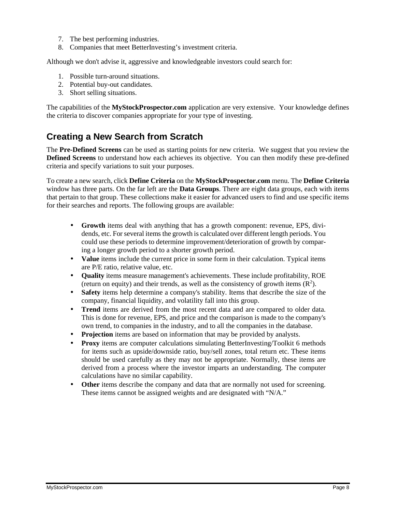- 7. The best performing industries.
- 8. Companies that meet BetterInvesting's investment criteria.

Although we don't advise it, aggressive and knowledgeable investors could search for:

- 1. Possible turn-around situations.
- 2. Potential buy-out candidates.
- 3. Short selling situations.

The capabilities of the **MyStockProspector.com** application are very extensive. Your knowledge defines the criteria to discover companies appropriate for your type of investing.

#### **Creating a New Search from Scratch**

The **Pre-Defined Screens** can be used as starting points for new criteria. We suggest that you review the **Defined Screens** to understand how each achieves its objective. You can then modify these pre-defined criteria and specify variations to suit your purposes.

To create a new search, click **Define Criteria** on the **MyStockProspector.com** menu. The **Define Criteria** window has three parts. On the far left are the **Data Groups**. There are eight data groups, each with items that pertain to that group. These collections make it easier for advanced users to find and use specific items for their searches and reports. The following groups are available:

- **Growth** items deal with anything that has a growth component: revenue, EPS, dividends, etc. For several items the growth is calculated over different length periods. You could use these periods to determine improvement/deterioration of growth by comparing a longer growth period to a shorter growth period.
- **Value** items include the current price in some form in their calculation. Typical items are P/E ratio, relative value, etc.
- **Quality** items measure management's achievements. These include profitability, ROE (return on equity) and their trends, as well as the consistency of growth items  $(R^2)$ .
- **Safety** items help determine a company's stability. Items that describe the size of the company, financial liquidity, and volatility fall into this group.
- **Trend** items are derived from the most recent data and are compared to older data. This is done for revenue, EPS, and price and the comparison is made to the company's own trend, to companies in the industry, and to all the companies in the database.
- **Projection** items are based on information that may be provided by analysts.
- **Proxy** items are computer calculations simulating BetterInvesting/Toolkit 6 methods for items such as upside/downside ratio, buy/sell zones, total return etc. These items should be used carefully as they may not be appropriate. Normally, these items are derived from a process where the investor imparts an understanding. The computer calculations have no similar capability.
- **Other** items describe the company and data that are normally not used for screening. These items cannot be assigned weights and are designated with "N/A."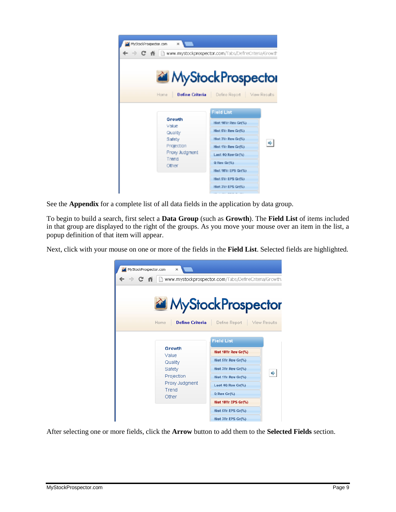| MyStockProspector.com<br>×<br>C 音 目 www.mystockprospector.com/Tabs/DefneCriteria/Growth |                                                                                                                                                                                                                   |              |
|-----------------------------------------------------------------------------------------|-------------------------------------------------------------------------------------------------------------------------------------------------------------------------------------------------------------------|--------------|
|                                                                                         | MyStockProspector                                                                                                                                                                                                 |              |
| <b>Define Criteria</b><br>Home                                                          | Define Report                                                                                                                                                                                                     | View Results |
| Growth<br>Value<br>Quality<br>Safety<br>Projection<br>Proxy Judgment<br>Trend<br>Other  | <b>Field List</b><br>Hist 18Yr Rev Gr(%)<br>Hist SY: Rev Gr(%)<br>Hist 3Yr Rev Gr(%)<br>Hist 1Yr Rev Gr(%)<br>Last 40 Rev Gr(%)<br>Q Rev Gr(%)<br>Hist 10Yr EPS Gr(%)<br>Hist SYr EPS Gr(%)<br>Hist 3Yr EPS Gr(%) | 哗            |

See the **Appendix** for a complete list of all data fields in the application by data group.

To begin to build a search, first select a **Data Group** (such as **Growth**). The **Field List** of items included in that group are displayed to the right of the groups. As you move your mouse over an item in the list, a popup definition of that item will appear.

Next, click with your mouse on one or more of the fields in the **Field List**. Selected fields are highlighted.



After selecting one or more fields, click the **Arrow** button to add them to the **Selected Fields** section.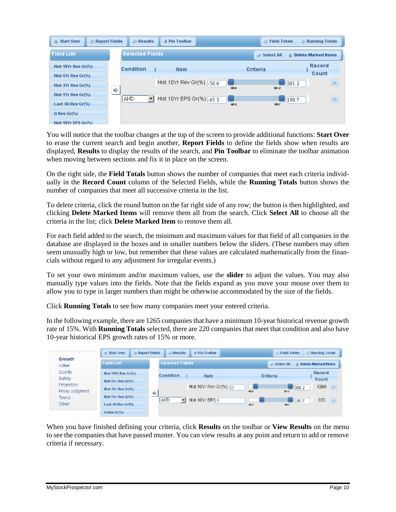| <b>Report Fields</b><br>■ Pin Toolbar<br><b><i>O</i></b> Field Totals<br>the Running Totals<br><b>" Start Over</b><br>$\Box$ Results |   |                                                            |                   |                       |  |  |  |  |
|--------------------------------------------------------------------------------------------------------------------------------------|---|------------------------------------------------------------|-------------------|-----------------------|--|--|--|--|
| <b>Field List</b>                                                                                                                    |   | <b>Selected Fields</b>                                     | $\vee$ Select All | m Delete Marked Items |  |  |  |  |
| Hist 10Yr Rev $Gr(\%)$                                                                                                               |   | Condition<br><b>Item</b>                                   | Criteria          | Record                |  |  |  |  |
| Hist 5Yr Rev Gr(%)                                                                                                                   |   |                                                            |                   | Count                 |  |  |  |  |
| Hist $3Yr$ Rev $Gr(\%)$                                                                                                              | € | Hist 10Yr Rev Gr(%) -50.6<br>50.6                          | 361.2             | $\circ$<br>361.2      |  |  |  |  |
| Hist 1Yr Rev Gr(%)                                                                                                                   |   | $\blacktriangleright$ Hist 10Yr EPS Gr(%) $-65.3$<br>  AND |                   | $\circ$<br>190.7      |  |  |  |  |
| Last $40$ Rev Gr $(\%)$                                                                                                              |   | -653                                                       | 190.7             |                       |  |  |  |  |
| $Q$ Rev Gr $(\%)$                                                                                                                    |   |                                                            |                   |                       |  |  |  |  |
| Hist 10Yr EPS Gr(%)                                                                                                                  |   |                                                            |                   |                       |  |  |  |  |

You will notice that the toolbar changes at the top of the screen to provide additional functions: **Start Over** to erase the current search and begin another, **Report Fields** to define the fields show when results are displayed, **Results** to display the results of the search, and **Pin Toolbar** to eliminate the toolbar animation when moving between sections and fix it in place on the screen.

On the right side, the **Field Totals** button shows the number of companies that meet each criteria individually in the **Record Count** column of the Selected Fields, while the **Running Totals** button shows the number of companies that meet all successive criteria in the list.

To delete criteria, click the round button on the far right side of any row; the button is then highlighted, and clicking **Delete Marked Items** will remove them all from the search. Click **Select All** to choose all the criteria in the list; click **Delete Marked Item** to remove them all.

For each field added to the search, the minimum and maximum values for that field of all companies in the database are displayed in the boxes and in smaller numbers below the sliders. (These numbers may often seem unusually high or low, but remember that these values are calculated mathematically from the financials without regard to any adjustment for irregular events.)

To set your own minimum and/or maximum values, use the **slider** to adjust the values. You may also manually type values into the fields. Note that the fields expand as you move your mouse over them to allow you to type in larger numbers than might be otherwise accommodated by the size of the fields.

Click **Running Totals** to see how many companies meet your entered criteria.

In the following example, there are 1265 companiesthat have a minimum 10-year historical revenue growth rate of 15%. With **Running Totals** selected, there are 220 companies that meet that condition and also have 10-year historical EPS growth rates of 15% or more.

|                              | Report Fields<br>* Start Over            |   | # Pin Toolbar<br>D Results |                 | <b>ch Field Totals</b> | <b>3 Running Totals</b>    |        |
|------------------------------|------------------------------------------|---|----------------------------|-----------------|------------------------|----------------------------|--------|
| Growth<br>Value              | <b>Field List</b>                        |   | <b>Selected Fields</b>     |                 | $\cup$ Select All      | <b>Delete Marked Items</b> |        |
| Quality<br>Safety            | Hist 18Yr Rev Gr(%).                     |   | Condition<br>Item          | <b>Criteria</b> |                        | Record<br>Count            |        |
| Projection<br>Proxy Judgment | Hist SVr Reu Gr(%)<br>Hist 3V: Rev Gr(%) |   | Hist 10Yr Rev Gr(%) 15     | 40.6            | 361.2<br>3612          | $1265$ $\circ$             |        |
| Trend                        | Hist 1Yr Rev Gr(%)                       | 哗 | F Hist 10Yr EPS15<br>AND   |                 | 190.7                  | 220                        | $\Box$ |
| Other                        | Last 40 Rev Gr(%)<br>Q Rev Gr(%)         |   |                            | 40.3            | TELT.                  |                            |        |

When you have finished defining your criteria, click **Results** on the toolbar or **View Results** on the menu to see the companies that have passed muster. You can view results at any point and return to add or remove criteria if necessary.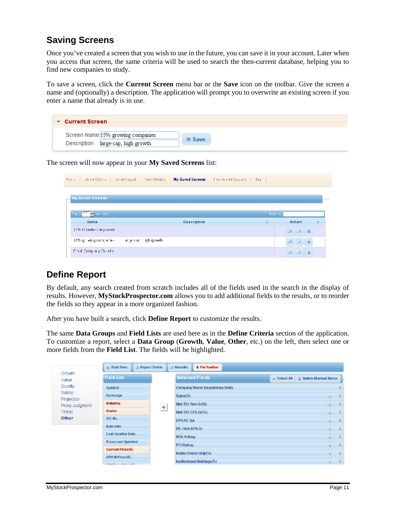#### **Saving Screens**

Once you've created a screen that you wish to use in the future, you can save it in your account. Later when you access that screen, the same criteria will be used to search the then-current database, helping you to find new companies to study.

To save a screen, click the **Current Screen** menu bar or the **Save** icon on the toolbar. Give the screen a name and (optionally) a description. The application will prompt you to overwrite an existing screen if you enter a name that already is in use.

| ▼ Current Screen                                                        |               |
|-------------------------------------------------------------------------|---------------|
| Screen Name 15% growing companies<br>Description large-cap, high growth | <b>■ Save</b> |

The screen will now appear in your **My Saved Screens** list:

| Human   Denne Critaria   Denne Neput   Meya Results |                              | My Saved Screens - The Jensed Screens   Has |                                                          |
|-----------------------------------------------------|------------------------------|---------------------------------------------|----------------------------------------------------------|
| My Saved Screens                                    |                              |                                             |                                                          |
|                                                     |                              |                                             |                                                          |
| Party of the Partners'<br><b>Name</b>               | Description                  | G-andre<br>÷.                               | <b>Action</b><br>e.                                      |
| 12% Gritalling imparies.                            |                              |                                             | $\begin{array}{ccc}\n\circ & \circ & \circ\n\end{array}$ |
| 18% griedrig omberlies.                             | angelinas in tightigh relln. |                                             | 0 / 3                                                    |
| Small Company Suikdal                               |                              |                                             | $\mathfrak{D}$ $\mathfrak{D}$<br>$-2$                    |

#### **Define Report**

By default, any search created from scratch includes all of the fields used in the search in the display of results. However, **MyStockProspector.com** allows you to add additional fields to the results, or to reorder the fields so they appear in a more organized fashion.

After you have built a search, click **Define Report** to customize the results.

The same **Data Groups** and **Field Lists** are used here as in the **Define Criteria** section of the application. To customize a report, select a **Data Group** (**Growth**, **Value**, **Other**, etc.) on the left, then select one or more fields from the **Field List**. The fields will be highlighted.

| Growth                       | <b>Field List</b>                |   | <b>Selected Fields</b>          | Select All | <sup>2</sup> Delete Marked Berns |
|------------------------------|----------------------------------|---|---------------------------------|------------|----------------------------------|
| Value<br>Quality             | Symbol                           |   | Company Name (mandatory field). |            |                                  |
| <b>Safety</b>                | Exchange                         |   | Sales(\$)                       |            | $\alpha$                         |
| Projection<br>Proxy Judgment | <b>Industry</b>                  | Ф | Hist 5Yr Rev Gr(%)              |            | $\Omega$                         |
| Trend                        | Sector:                          |   | Hist SYr EPS Gr(%)              |            | $\circ$                          |
| Other                        | SIC No.                          |   | EPS R2 3/F                      |            | $\circ$                          |
|                              | <b>Bate Info</b>                 |   | PE / Hist EPS Gr.               |            | $\alpha$                         |
|                              | Last Quarter Bate                |   | <b>ROE Rating</b>               |            | $\circ$                          |
|                              | Price Last Updated               |   | PTI Rating                      |            |                                  |
|                              | <b>Current Price(\$)</b>         |   |                                 |            | $\circ$                          |
|                              | 52W Hi Price(\$)                 |   | Inside Ownership(%).            |            | $\Omega$                         |
|                              | Without A company Workers with a |   | Institutional Holdings (%).     |            | $O-$                             |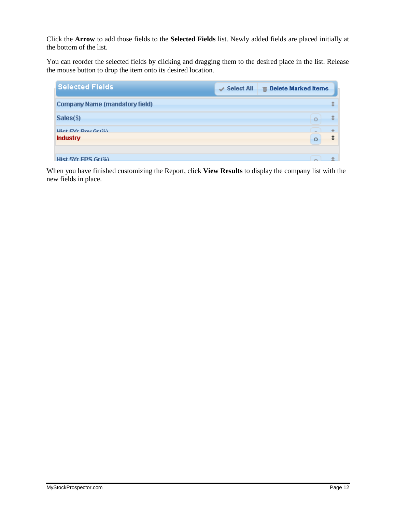Click the **Arrow** to add those fields to the **Selected Fields** list. Newly added fields are placed initially at the bottom of the list.

You can reorder the selected fields by clicking and dragging them to the desired place in the list. Release the mouse button to drop the item onto its desired location.

| <b>Selected Fields</b>                          | $\vee$ Select All | Delete Marked Items<br>命 |
|-------------------------------------------------|-------------------|--------------------------|
| Company Name (mandatory field)                  |                   |                          |
| Sales(\$)                                       |                   | C                        |
| <b>Lliet EVr Dou Crilli)</b><br><b>Industry</b> |                   | $\circ$                  |
| Hist SYr FPS Gr/%).                             |                   |                          |

When you have finished customizing the Report, click **View Results** to display the company list with the new fields in place.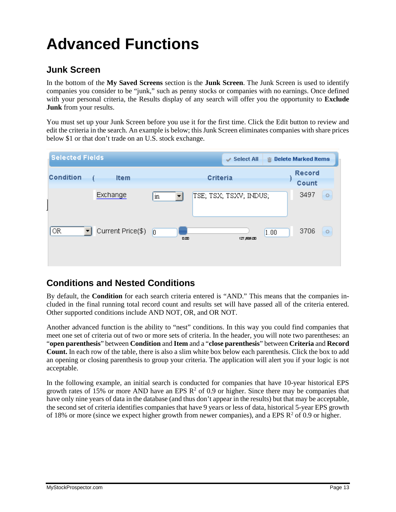### **Advanced Functions**

#### **Junk Screen**

In the bottom of the **My Saved Screens** section is the **Junk Screen**. The Junk Screen is used to identify companies you consider to be "junk," such as penny stocks or companies with no earnings. Once defined with your personal criteria, the Results display of any search will offer you the opportunity to **Exclude Junk** from your results.

You must set up your Junk Screen before you use it for the first time. Click the Edit button to review and edit the criteria in the search. An example is below; this Junk Screen eliminates companies with share prices below \$1 or that don't trade on an U.S. stock exchange.

| <b>Selected Fields</b> |                   |                                | <b>Select All</b><br>v |      | m Delete Marked Items  |
|------------------------|-------------------|--------------------------------|------------------------|------|------------------------|
| <b>Condition</b>       | <b>Item</b>       |                                | Criteria               |      | <b>Record</b><br>Count |
|                        | Exchange          | in                             | TSE; TSX; TSXV; INDUS; |      | 3497<br>$\circ$        |
| OR                     | Current Price(\$) | $\vert 0 \vert$<br>$n_{\rm m}$ | 127,535.00             | 1.00 | 3706<br>$\circ$        |

#### **Conditions and Nested Conditions**

By default, the **Condition** for each search criteria entered is "AND." This means that the companies included in the final running total record count and results set will have passed all of the criteria entered. Other supported conditions include AND NOT, OR, and OR NOT.

Another advanced function is the ability to "nest" conditions. In this way you could find companies that meet one set of criteria out of two or more sets of criteria. In the header, you will note two parentheses: an "**open parenthesis**" between **Condition** and **Item** and a "**close parenthesis**" between **Criteria** and **Record Count.** In each row of the table, there is also a slim white box below each parenthesis. Click the box to add an opening or closing parenthesis to group your criteria. The application will alert you if your logic is not acceptable.

In the following example, an initial search is conducted for companies that have 10-year historical EPS growth rates of 15% or more AND have an EPS  $\mathbb{R}^2$  of 0.9 or higher. Since there may be companies that have only nine years of data in the database (and thus don't appear in the results) but that may be acceptable, the second set of criteria identifies companies that have 9 years or less of data, historical 5-year EPS growth of 18% or more (since we expect higher growth from newer companies), and a EPS  $\mathbb{R}^2$  of 0.9 or higher.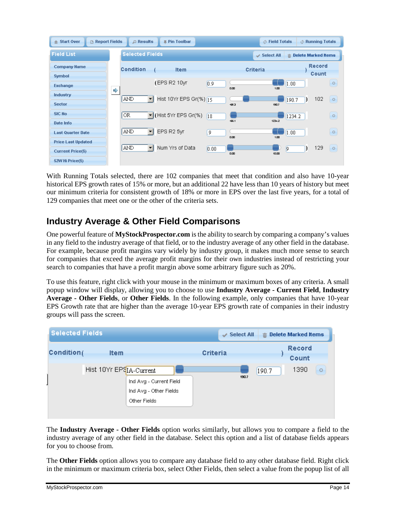| <b>合 Start Over</b><br>Report Fields                  |   | $\bigcirc$ Results                     | <b>E</b> Pin Toolbar     |        |             | <b>b</b> Field Totals |                       | & Running Totals |                          |
|-------------------------------------------------------|---|----------------------------------------|--------------------------|--------|-------------|-----------------------|-----------------------|------------------|--------------------------|
| <b>Field List</b>                                     |   | <b>Selected Fields</b>                 |                          |        |             | $\vee$ Select All     | m Delete Marked Items |                  |                          |
| <b>Company Name</b><br><b>Symbol</b>                  |   | <b>Condition</b>                       | <b>Item</b>              |        |             | Criteria              |                       | Record<br>Count  |                          |
| <b>Exchange</b>                                       | ♦ |                                        | (EPS R2 10yr)            | 0.9    | $n_{\rm m}$ | 1.00                  | 1.00                  |                  | $\circ$                  |
| Industry<br><b>Sector</b>                             |   | AND<br>$\overline{\phantom{a}}$        | Hist 10Yr EPS Gr(%) [15] |        | -653        | 190.7                 | 190.7                 | 102              | $\overline{\phantom{0}}$ |
| <b>SIC No</b><br>Date Info                            |   | OR                                     | Iv (Hist 5Yr EPS Gr(%)   | 18     | $-66.1$     | $123 + 2$             | 1234.2                |                  | $\circ$                  |
| <b>Last Quarter Date</b>                              |   | <b>AND</b><br>$\overline{\phantom{a}}$ | EPS R2 5yr               | 9      | $n_{\rm m}$ | $1 \text{ m}$         | 1.00                  |                  | $\circ$                  |
| <b>Price Last Updated</b><br><b>Current Price(\$)</b> |   | AND<br>$\overline{\phantom{0}}$        | Num Yrs of Data          | [0.00] | $n_{\rm m}$ | 10.00                 | <b>Ig</b>             | 129              | $\circ$                  |
| 52W Hi Price(\$)                                      |   |                                        |                          |        |             |                       |                       |                  |                          |

With Running Totals selected, there are 102 companies that meet that condition and also have 10-year historical EPS growth rates of 15% or more, but an additional 22 have less than 10 years of history but meet our minimum criteria for consistent growth of 18% or more in EPS over the last five years, for a total of 129 companies that meet one or the other of the criteria sets.

#### **Industry Average & Other Field Comparisons**

One powerful feature of **MyStockProspector.com** isthe ability to search by comparing a company's values in any field to the industry average of that field, or to the industry average of any other field in the database. For example, because profit margins vary widely by industry group, it makes much more sense to search for companies that exceed the average profit margins for their own industries instead of restricting your search to companies that have a profit margin above some arbitrary figure such as 20%.

To use this feature, right click with your mouse in the minimum or maximum boxes of any criteria. A small popup window will display, allowing you to choose to use **Industry Average - Current Field**, **Industry Average - Other Fields**, or **Other Fields**. In the following example, only companies that have 10-year EPS Growth rate that are higher than the average 10-year EPS growth rate of companies in their industry groups will pass the screen.



The **Industry Average - Other Fields** option works similarly, but allows you to compare a field to the industry average of any other field in the database. Select this option and a list of database fields appears for you to choose from.

The **Other Fields** option allows you to compare any database field to any other database field. Right click in the minimum or maximum criteria box, select Other Fields, then select a value from the popup list of all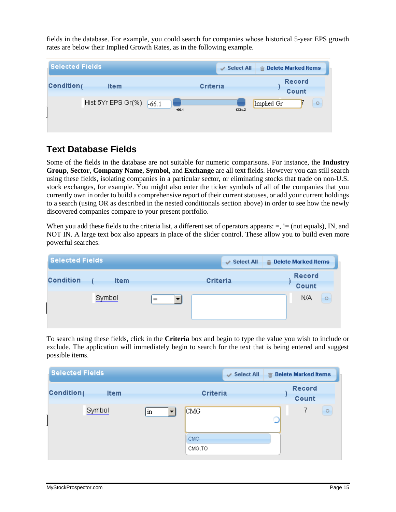fields in the database. For example, you could search for companies whose historical 5-year EPS growth rates are below their Implied Growth Rates, as in the following example.

| <b>Selected Fields</b>                   | <b>Select All</b><br>v | m Delete Marked Items  |
|------------------------------------------|------------------------|------------------------|
| Condition <sub>(</sub><br><b>Item</b>    | Criteria               | <b>Record</b><br>Count |
| Hist 5Yr EPS Gr(%)<br>$-66.1$<br>$-66.1$ | $123 + 2$              | Implied Gr<br>$\circ$  |

#### **Text Database Fields**

Some of the fields in the database are not suitable for numeric comparisons. For instance, the **Industry Group**, **Sector**, **Company Name**, **Symbol**, and **Exchange** are all text fields. However you can still search using these fields, isolating companies in a particular sector, or eliminating stocks that trade on non-U.S. stock exchanges, for example. You might also enter the ticker symbols of all of the companies that you currently own in order to build a comprehensive report of their current statuses, or add your current holdings to a search (using OR as described in the nested conditionals section above) in order to see how the newly discovered companies compare to your present portfolio.

When you add these fields to the criteria list, a different set of operators appears:  $=$ ,  $=$  (not equals), IN, and NOT IN. A large text box also appears in place of the slider control. These allow you to build even more powerful searches.

| <b>Selected Fields</b>          | $\vee$ Select All | m Delete Marked Items  |
|---------------------------------|-------------------|------------------------|
| <b>Condition</b><br><b>Item</b> | Criteria          | <b>Record</b><br>Count |
| Symbol                          | $=$               | N/A<br>$\circ$         |

To search using these fields, click in the **Criteria** box and begin to type the value you wish to include or exclude. The application will immediately begin to search for the text that is being entered and suggest possible items.

| <b>Selected Fields</b>                |                     | $\checkmark$ Select All | m Delete Marked Items  |         |
|---------------------------------------|---------------------|-------------------------|------------------------|---------|
| Condition <sub>(</sub><br><b>Item</b> |                     | Criteria                | <b>Record</b><br>Count |         |
| Symbol                                | $\operatorname{in}$ | CMG                     | 7                      | $\circ$ |
|                                       |                     | CMG.<br>CMG.TO          |                        |         |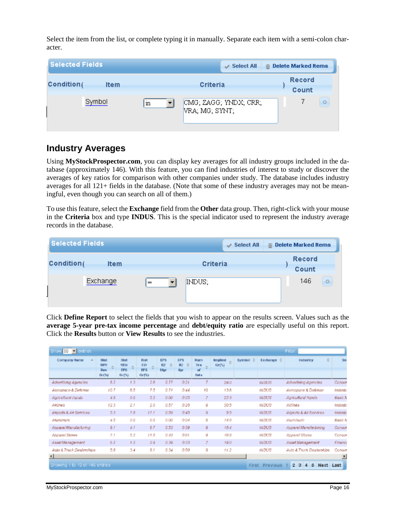Select the item from the list, or complete typing it in manually. Separate each item with a semi-colon character.



#### **Industry Averages**

Using **MyStockProspector.com**, you can display key averages for all industry groups included in the database (approximately 146). With this feature, you can find industries of interest to study or discover the averages of key ratios for comparison with other companies under study. The database includes industry averages for all 121+ fields in the database. (Note that some of these industry averages may not be meaningful, even though you can search on all of them.)

To use this feature, select the **Exchange** field from the **Other** data group. Then, right-click with your mouse in the **Criteria** box and type **INDUS**. This is the special indicator used to represent the industry average records in the database.

| <b>Selected Fields</b>                | <b>Select All</b><br>v | $\hat{m}$ Delete Marked Items |
|---------------------------------------|------------------------|-------------------------------|
| Condition <sub>(</sub><br><b>Item</b> | Criteria               | <b>Record</b><br>Count        |
| Exchange                              | INDUS;<br>$=$          | 146<br>$\circ$                |

Click **Define Report** to select the fields that you wish to appear on the results screen. Values such as the **average 5-year pre-tax income percentage** and **debt/equity ratio** are especially useful on this report. Click the **Results** button or **View Results** to see the industries.

| Show 10 - entries              | Filter                                     |                                     |                                           |                               |                               |                                        |                              |         |                                      |                                                |                |  |
|--------------------------------|--------------------------------------------|-------------------------------------|-------------------------------------------|-------------------------------|-------------------------------|----------------------------------------|------------------------------|---------|--------------------------------------|------------------------------------------------|----------------|--|
| Company Name                   | <b>Hist</b><br><b>10Yr</b><br>Rev<br>Gr(3) | Hist<br>18Yr<br><b>FPS</b><br>Gr(%) | Hist<br><b>SYr</b><br><b>EPS</b><br>Gr(5) | <b>EPS</b><br>R2<br>Ŭ<br>10yr | EPS<br>R2<br>O.<br><b>Swr</b> | <b>Num</b><br><b>Yrs</b><br>of<br>Data | <b>Implied</b><br>ô<br>Gr(5) | Symbol: | $\frac{1}{2}$<br>Exchange $\Diamond$ | ÷<br>Industry                                  | Se             |  |
| Advertising Agencies           | 6.2                                        | 1.3                                 | 2.6                                       | 0.77                          | 0.21                          |                                        | 29.0                         |         | <b>WDUS</b>                          | Advertising Agencies                           | Consur         |  |
| Aerospace & Defense            | 10.7                                       | 65                                  | 7.5                                       | 0.74                          | 0.44                          | 10                                     | 13.6                         |         | <b>INDUS</b>                         | Aerospace & Delense                            | <b>Industr</b> |  |
| Agricultural Inputs            | d, B                                       | 0.0                                 | 5.2                                       | 0.00                          | 0.25                          | 7                                      | 22.3                         |         | <b>WDUS</b>                          | Agricultural Inputs                            | Basic A        |  |
| Almines                        | 12.3                                       | 2.5                                 | 2.0                                       | 0.57                          | 0.28                          | 9                                      | 30.5                         |         | <b>INDUS</b>                         | Airlines                                       | Industr.       |  |
| Alignate & Alii Services       | D.3                                        | 7.8                                 | 17.1                                      | 0.09.                         | 0.45.                         | 9                                      | 9.5                          |         | <b>WDUS</b>                          | Algoria & Air Services                         | Inclustr.      |  |
| Altunaineura                   | ₫5                                         | 0.0                                 | 0.0                                       | 0.00                          | 0.04                          | 8                                      | 148                          |         | <b>WDUS</b>                          | Alumitum                                       | Basic N        |  |
| Apparel Manufacturing          | 9.7                                        | 4.1                                 | 6.7                                       | 0.53                          | 0.39                          | 9                                      | 18.4                         |         | <b>INDUS</b>                         | Appare/Manufacturing                           | Consur         |  |
| Apparel Stores                 | 73                                         | 5.2                                 | 11.8                                      | 0.43                          | 0.64                          | g                                      | 16.8                         |         | <b>INDUS</b>                         | Apparel Stores                                 | Consur         |  |
| AssetManagement                | 6.2                                        | 1.2                                 | 2.9                                       | 0.99                          | 0.99                          | 7                                      | 19.0                         |         | <b>INDUS</b>                         | Asset Management                               | Financi        |  |
| Auto & Truck Dealerships       | 5.8                                        | 3.4                                 | 87                                        | 0.34                          | 0.59                          | g                                      | 11.2                         |         | <b>WDUS</b>                          | Auto & Truck Dealerships                       | Consur         |  |
| $\blacksquare$                 |                                            |                                     |                                           |                               |                               |                                        |                              |         |                                      |                                                | ≛              |  |
| Showing 1 to 10 of 146 entries |                                            |                                     |                                           |                               |                               |                                        |                              |         | First Previous 1                     | $\mathbf{z}$<br>5<br>3<br>Next<br>$\mathbf{d}$ | <b>Last</b>    |  |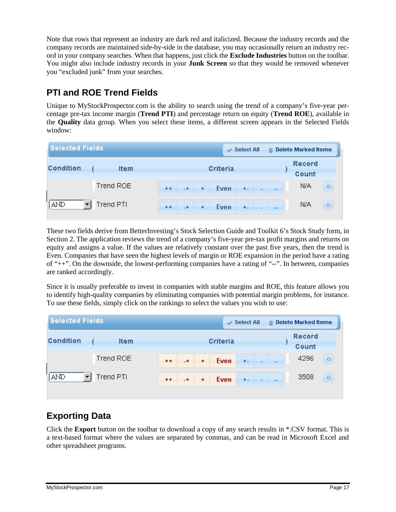Note that rows that represent an industry are dark red and italicized. Because the industry records and the company records are maintained side-by-side in the database, you may occasionally return an industry record in your company searches. When that happens, just click the **Exclude Industries** button on the toolbar. You might also include industry records in your **Junk Screen** so that they would be removed whenever you "excluded junk" from your searches.

#### **PTI and ROE Trend Fields**

Unique to MyStockProspector.com is the ability to search using the trend of a company's five-year percentage pre-tax income margin (**Trend PTI**) and percentage return on equity (**Trend ROE**), available in the **Quality** data group. When you select these items, a different screen appears in the Selected Fields window:

| <b>Selected Fields</b> | v           | <b>Select All</b> |      |                      | m Delete Marked Items |       |                          |                   |                        |         |
|------------------------|-------------|-------------------|------|----------------------|-----------------------|-------|--------------------------|-------------------|------------------------|---------|
| <b>Condition</b>       | <b>Item</b> |                   |      |                      | Criteria              |       |                          |                   | <b>Record</b><br>Count |         |
|                        | Trend ROE   | $+ +$             | $-+$ | $\ddot{\phantom{1}}$ | Even                  | $+$ . | $\overline{\phantom{m}}$ | $\qquad \qquad -$ | N/A                    | $\circ$ |
| <b>AND</b>             | Trend PTI   | $+ +$             | $-+$ | $\ddot{\phantom{1}}$ | Even                  | $+$   | $\overline{\phantom{0}}$ | $-$               | N/A                    | $\circ$ |

These two fields derive from BetterInvesting's Stock Selection Guide and Toolkit 6's Stock Study form, in Section 2. The application reviews the trend of a company's five-year pre-tax profit margins and returns on equity and assigns a value. If the values are relatively constant over the past five years, then the trend is Even. Companies that have seen the highest levels of margin or ROE expansion in the period have a rating of "++". On the downside, the lowest-performing companies have a rating of "--". In between, companies are ranked accordingly.

Since it is usually preferable to invest in companies with stable margins and ROE, this feature allows you to identify high-quality companies by eliminating companies with potential margin problems, for instance. To use these fields, simply click on the rankings to select the values you wish to use:

| <b>Selected Fields</b>           | $\vee$ Select All                                                            | $II$ Delete Marked Items |
|----------------------------------|------------------------------------------------------------------------------|--------------------------|
| <b>Condition</b><br><b>Item</b>  | Criteria                                                                     | <b>Record</b><br>Count   |
| Trend ROE                        | Even<br>$++$<br>$\ddot{}$<br>$+$ .<br>$+$<br>$\overline{\phantom{0}}$<br>$-$ | 4296<br>$\circ$          |
| $\sqrt{\text{AND}}$<br>Trend PTI | Even<br>$++$<br>$+$ .<br>$\ddot{}$<br>$+$<br>$-$<br>$\overline{\phantom{0}}$ | 3508<br>$\circ$          |
|                                  |                                                                              |                          |

#### **Exporting Data**

Click the **Export** button on the toolbar to download a copy of any search results in \*.CSV format. This is a text-based format where the values are separated by commas, and can be read in Microsoft Excel and other spreadsheet programs.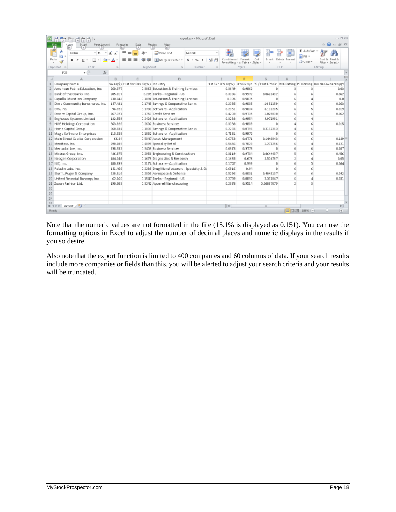|                                                                                                      | □ 国 忍<br>export.cn - Microsoft Expel<br>H.<br>Ħ<br>竹前向向 |                 |                                       |                                            |                    |       |                    |                                                 |                                                                                          |               |                |         |                             |  |
|------------------------------------------------------------------------------------------------------|---------------------------------------------------------|-----------------|---------------------------------------|--------------------------------------------|--------------------|-------|--------------------|-------------------------------------------------|------------------------------------------------------------------------------------------|---------------|----------------|---------|-----------------------------|--|
| Home<br>Еk<br>PageLayout<br>Juset<br>Formulas<br>Data<br>View<br>Review<br>W.<br>N<br>H.<br>$\Omega$ |                                                         |                 |                                       |                                            |                    |       |                    | $\triangle$ $\bullet$ $\bullet$ $\neq$ $\Omega$ |                                                                                          |               |                |         |                             |  |
|                                                                                                      | $-11$<br>Calibri<br><b>ALC</b>                          | A"<br>$\Lambda$ | <b>AB</b> --<br>$\equiv$              | When Text                                  | General            |       |                    |                                                 |                                                                                          |               | Σ AutoSun =    |         |                             |  |
|                                                                                                      | la +                                                    |                 |                                       |                                            |                    |       |                    |                                                 |                                                                                          |               | E FIL *        |         |                             |  |
|                                                                                                      | Parts<br>田<br><b>Ge</b><br>U<br>$\sim$                  | А               | æ                                     | Merge & Center *                           | $s$ .<br>$\%$<br>٠ | 18.21 | Conditional Format | Formatting = as Table = Styles =                | Cell<br>Insert.                                                                          | Delete Format | @ Clear +      | Sprt 西  | Find &<br>Filter = Select = |  |
|                                                                                                      | Font<br>Clipboard ra                                    | T2              | Alignment                             | $\tau_{\rm H}$                             | Number             | 174   |                    | Styles                                          |                                                                                          | Cells         |                | Editing |                             |  |
|                                                                                                      | f <sub>x</sub><br>$\mathbf{v}$ (in<br>F29               |                 |                                       |                                            |                    |       |                    |                                                 |                                                                                          |               |                |         |                             |  |
|                                                                                                      | Δ.                                                      | $\Box$          | G                                     | D                                          |                    |       | E                  | E.                                              | G.                                                                                       | H             |                |         |                             |  |
|                                                                                                      | Company Name                                            |                 | Sales(\$) Hist SYr Rev Gr(%) Industry |                                            |                    |       |                    |                                                 | Hist SYY EPS Gr(%) EPS R2 Syr PE / Hist EPS Gr ROE Rating PTI Rating Inside Ownership(%) |               |                |         |                             |  |
|                                                                                                      | American Public Education, Inc.                         | 260.377         |                                       | 0.3865 Education & Training Services       |                    |       | 0.3649             | 0.9862                                          |                                                                                          | з             |                |         | 0.031                       |  |
|                                                                                                      | Bank of the Ozarks, Inc.                                | 285.817         |                                       | 0.295 Banks - Regional - US                |                    |       | 0.3336             | 0.9972                                          | 0.8622402                                                                                | Б             | Б              |         | 0.062                       |  |
|                                                                                                      | Capella Education Company                               | 430.043         |                                       | 0.1891 Education & Training Services       |                    |       | 0.305              | 0.5875                                          | D                                                                                        | Б             | д              |         | 0.01                        |  |
|                                                                                                      | Dim a Community Bancshares, Inc.                        | 147.431         |                                       | 0.1745 Savings & Cooperative Banks         |                    |       | 0.2095             | 0.9005                                          | $-1431159$                                                                               | 6             | Ė.             |         | 0.063                       |  |
|                                                                                                      | DTS, Inc.                                               | 96.922          |                                       | 0.1703 Software - Application              |                    |       | 0.2051             | 0.9834                                          | 3.182285                                                                                 |               | 5              |         | 0.019                       |  |
|                                                                                                      | Encore Capital Group, Inc.                              | 467.371         |                                       | 0.1756 Credit Services                     |                    |       | 0.4203             | 0.9735                                          | 1.025838                                                                                 |               | Б              |         | 0.062                       |  |
|                                                                                                      | Enghouse Systems Limited                                | 122.559         |                                       | 0.2423 Software - Application              |                    |       | 0.3233             | 0.9954                                          | 4.971991                                                                                 |               | ă              |         |                             |  |
|                                                                                                      | HMS Holdlings Corporation                               | 563.826         |                                       | 0.2602 Business Services                   |                    |       | 0.5088             | 0.9809                                          | n.                                                                                       |               | 6              |         | 0.015                       |  |
|                                                                                                      | 10 Home Capital Group                                   | B68.834         |                                       | 0.1833 Savings & Cooperative Banks         |                    |       | 0.2265             | 0.8796                                          | 0.3192363                                                                                | a.            | Б              |         |                             |  |
|                                                                                                      | 11 Magic Software Enterprises                           | 113.328         |                                       | 0.1832 Software - Application              |                    |       | 0.7131             | 0.9972                                          | n                                                                                        | F.            | Б              |         |                             |  |
|                                                                                                      | 12 Main Street Capital Corporation                      | 66.24           |                                       | 0.5047 Asset Management                    |                    |       | 0.6763             | 0.8771                                          | 0.1446843                                                                                |               | Ë,             |         | 0.129                       |  |
|                                                                                                      | 13 Medifast, Inc.                                       | 298.189         |                                       | 0.4095 Specialty Retail                    |                    |       | 0.5456             | 0,7028                                          | 1.271256                                                                                 |               | đ              |         | 0.121                       |  |
|                                                                                                      | 14 Mercadoli bre, Inc.                                  | 298.932         |                                       | 0.3459 Business Services                   |                    |       | 0.6873             | 0.9778                                          | n                                                                                        |               | Б              |         | 0.107                       |  |
|                                                                                                      | 15 Mistras Group, Inc.                                  | 436.875         |                                       | 0.2956 Engineering & Construction          |                    |       | 0.3119             | 0.9734                                          | 0.8644437                                                                                | 5             | Ë,             |         | 0.456                       |  |
|                                                                                                      | 16 Neogen Corporation                                   | 184.046         |                                       | 0.1673 Diagnostics & Research              |                    |       | 0.1685             | 0.676                                           | 2.504787                                                                                 | <sup>2</sup>  | ű              |         | 0.050                       |  |
|                                                                                                      | 17 NIC, Inc.                                            | 180.899         |                                       | 0.2174 Software - Application              |                    |       | 0.1747             | 0.999                                           | D                                                                                        | Б             | 5              |         | 0.064                       |  |
|                                                                                                      | 18 Peladin Labs, Inc.                                   | 141.466         |                                       | 0.2283 Drug Manufacturers - Specialty & Go |                    |       | 0.6916             | 0.94                                            | n.                                                                                       |               | б              |         |                             |  |
|                                                                                                      | 19 Sturm, Ruger & Company                               | 328.816         |                                       | 0.2003 Aerospace & Defense                 |                    |       | 0.5296             | 0.8031                                          | 0.4849137                                                                                | Ř.            | б              |         | 0.042                       |  |
|                                                                                                      | 20 United Financial Bancorp, Inc.                       | 62.166          |                                       | 0.1547 Banks - Regional - US               |                    |       | 0.2789             | 0.8892                                          | 2.391847                                                                                 | E,            | đ              |         | 0.0315                      |  |
|                                                                                                      | 21 Zupan Fashion Ltd.                                   | 190.303         |                                       | 0.3242 Apparel Manufacturing               |                    |       | 0.2378             | 0.9514                                          | D.D6B37679                                                                               | z             | $\overline{a}$ |         |                             |  |
| $^{22}$                                                                                              |                                                         |                 |                                       |                                            |                    |       |                    |                                                 |                                                                                          |               |                |         |                             |  |
| 23                                                                                                   |                                                         |                 |                                       |                                            |                    |       |                    |                                                 |                                                                                          |               |                |         |                             |  |
| 24                                                                                                   |                                                         |                 |                                       |                                            |                    |       |                    |                                                 |                                                                                          |               |                |         |                             |  |
| う号                                                                                                   | $H + H$ expart $\sqrt{2}$                               |                 |                                       |                                            |                    |       | $\mathbb{R}$ 4     |                                                 | $\overline{1}$                                                                           |               |                |         | ьl                          |  |
|                                                                                                      | Ready                                                   |                 |                                       |                                            |                    |       |                    |                                                 |                                                                                          |               | 田口凹 11P6 (−)   | O.      | $\left( -\right)$           |  |
|                                                                                                      |                                                         |                 |                                       |                                            |                    |       |                    |                                                 |                                                                                          |               |                |         |                             |  |

Note that the numeric values are not formatted in the file (15.1% is displayed as 0.151). You can use the formatting options in Excel to adjust the number of decimal places and numeric displays in the results if you so desire.

Also note that the export function is limited to 400 companies and 60 columns of data. If your search results include more companies or fields than this, you will be alerted to adjust your search criteria and your results will be truncated.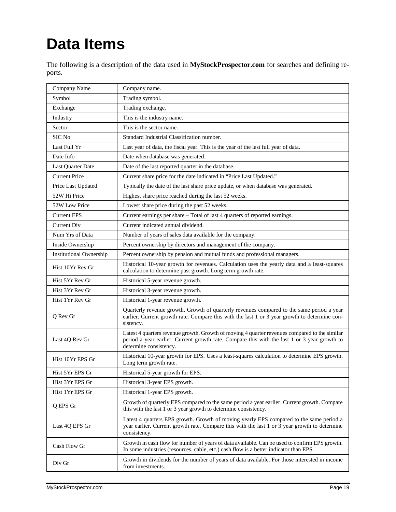# **Data Items**

The following is a description of the data used in **MyStockProspector.com** for searches and defining reports.

| Company Name                   | Company name.                                                                                                                                                                                                           |
|--------------------------------|-------------------------------------------------------------------------------------------------------------------------------------------------------------------------------------------------------------------------|
| Symbol                         | Trading symbol.                                                                                                                                                                                                         |
| Exchange                       | Trading exchange.                                                                                                                                                                                                       |
| Industry                       | This is the industry name.                                                                                                                                                                                              |
| Sector                         | This is the sector name.                                                                                                                                                                                                |
| SIC No                         | Standard Industrial Classification number.                                                                                                                                                                              |
| Last Full Yr                   | Last year of data, the fiscal year. This is the year of the last full year of data.                                                                                                                                     |
| Date Info                      | Date when database was generated.                                                                                                                                                                                       |
| Last Quarter Date              | Date of the last reported quarter in the database.                                                                                                                                                                      |
| <b>Current Price</b>           | Current share price for the date indicated in "Price Last Updated."                                                                                                                                                     |
| Price Last Updated             | Typically the date of the last share price update, or when database was generated.                                                                                                                                      |
| 52W Hi Price                   | Highest share price reached during the last 52 weeks.                                                                                                                                                                   |
| 52W Low Price                  | Lowest share price during the past 52 weeks.                                                                                                                                                                            |
| <b>Current EPS</b>             | Current earnings per share - Total of last 4 quarters of reported earnings.                                                                                                                                             |
| <b>Current Div</b>             | Current indicated annual dividend.                                                                                                                                                                                      |
| Num Yrs of Data                | Number of years of sales data available for the company.                                                                                                                                                                |
| Inside Ownership               | Percent ownership by directors and management of the company.                                                                                                                                                           |
| <b>Institutional Ownership</b> | Percent ownership by pension and mutual funds and professional managers.                                                                                                                                                |
| Hist 10Yr Rev Gr               | Historical 10-year growth for revenues. Calculation uses the yearly data and a least-squares<br>calculation to determine past growth. Long term growth rate.                                                            |
| Hist 5Yr Rev Gr                | Historical 5-year revenue growth.                                                                                                                                                                                       |
| Hist 3Yr Rev Gr                | Historical 3-year revenue growth.                                                                                                                                                                                       |
| Hist 1Yr Rev Gr                | Historical 1-year revenue growth.                                                                                                                                                                                       |
| Q Rev Gr                       | Quarterly revenue growth. Growth of quarterly revenues compared to the same period a year<br>earlier. Current growth rate. Compare this with the last 1 or 3 year growth to determine con-<br>sistency.                 |
| Last 4Q Rev Gr                 | Latest 4 quarters revenue growth. Growth of moving 4 quarter revenues compared to the similar<br>period a year earlier. Current growth rate. Compare this with the last 1 or 3 year growth to<br>determine consistency. |
| Hist 10Yr EPS Gr               | Historical 10-year growth for EPS. Uses a least-squares calculation to determine EPS growth.<br>Long term growth rate.                                                                                                  |
| Hist 5Yr EPS Gr                | Historical 5-year growth for EPS.                                                                                                                                                                                       |
| Hist 3Yr EPS Gr                | Historical 3-year EPS growth.                                                                                                                                                                                           |
| Hist 1Yr EPS Gr                | Historical 1-year EPS growth.                                                                                                                                                                                           |
| Q EPS Gr                       | Growth of quarterly EPS compared to the same period a year earlier. Current growth. Compare<br>this with the last 1 or 3 year growth to determine consistency.                                                          |
| Last 4Q EPS Gr                 | Latest 4 quarters EPS growth. Growth of moving yearly EPS compared to the same period a<br>year earlier. Current growth rate. Compare this with the last 1 or 3 year growth to determine<br>consistency.                |
| Cash Flow Gr                   | Growth in cash flow for number of years of data available. Can be used to confirm EPS growth.<br>In some industries (resources, cable, etc.) cash flow is a better indicator than EPS.                                  |
| Div Gr                         | Growth in dividends for the number of years of data available. For those interested in income<br>from investments.                                                                                                      |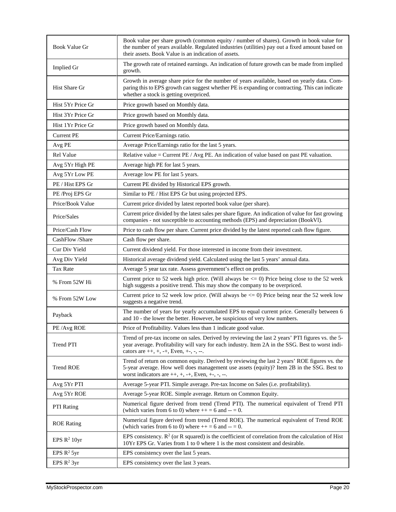| Book Value Gr     | Book value per share growth (common equity / number of shares). Growth in book value for<br>the number of years available. Regulated industries (utilities) pay out a fixed amount based on<br>their assets. Book Value is an indication of assets.    |
|-------------------|--------------------------------------------------------------------------------------------------------------------------------------------------------------------------------------------------------------------------------------------------------|
| Implied Gr        | The growth rate of retained earnings. An indication of future growth can be made from implied<br>growth.                                                                                                                                               |
| Hist Share Gr     | Growth in average share price for the number of years available, based on yearly data. Com-<br>paring this to EPS growth can suggest whether PE is expanding or contracting. This can indicate<br>whether a stock is getting overpriced.               |
| Hist 5Yr Price Gr | Price growth based on Monthly data.                                                                                                                                                                                                                    |
| Hist 3Yr Price Gr | Price growth based on Monthly data.                                                                                                                                                                                                                    |
| Hist 1Yr Price Gr | Price growth based on Monthly data.                                                                                                                                                                                                                    |
| <b>Current PE</b> | Current Price/Earnings ratio.                                                                                                                                                                                                                          |
| Avg PE            | Average Price/Earnings ratio for the last 5 years.                                                                                                                                                                                                     |
| <b>Rel Value</b>  | Relative value = Current PE / Avg PE. An indication of value based on past PE valuation.                                                                                                                                                               |
| Avg 5Yr High PE   | Average high PE for last 5 years.                                                                                                                                                                                                                      |
| Avg 5Yr Low PE    | Average low PE for last 5 years.                                                                                                                                                                                                                       |
| PE / Hist EPS Gr  | Current PE divided by Historical EPS growth.                                                                                                                                                                                                           |
| PE /Proj EPS Gr   | Similar to PE / Hist EPS Gr but using projected EPS.                                                                                                                                                                                                   |
| Price/Book Value  | Current price divided by latest reported book value (per share).                                                                                                                                                                                       |
| Price/Sales       | Current price divided by the latest sales per share figure. An indication of value for fast growing<br>companies - not susceptible to accounting methods (EPS) and depreciation (BookVl).                                                              |
| Price/Cash Flow   | Price to cash flow per share. Current price divided by the latest reported cash flow figure.                                                                                                                                                           |
| CashFlow /Share   | Cash flow per share.                                                                                                                                                                                                                                   |
| Cur Div Yield     | Current dividend yield. For those interested in income from their investment.                                                                                                                                                                          |
| Avg Div Yield     | Historical average dividend yield. Calculated using the last 5 years' annual data.                                                                                                                                                                     |
| <b>Tax Rate</b>   | Average 5 year tax rate. Assess government's effect on profits.                                                                                                                                                                                        |
| % From 52W Hi     | Current price to 52 week high price. (Will always be $\leq$ 0) Price being close to the 52 week<br>high suggests a positive trend. This may show the company to be overpriced.                                                                         |
| % From 52W Low    | Current price to 52 week low price. (Will always be $\leq$ 0) Price being near the 52 week low<br>suggests a negative trend.                                                                                                                           |
| Payback           | The number of years for yearly accumulated EPS to equal current price. Generally between 6<br>and 10 - the lower the better. However, be suspicious of very low numbers.                                                                               |
| PE/Avg ROE        | Price of Profitability. Values less than 1 indicate good value.                                                                                                                                                                                        |
| Trend PTI         | Trend of pre-tax income on sales. Derived by reviewing the last 2 years' PTI figures vs. the 5-<br>year average. Profitability will vary for each industry. Item 2A in the SSG. Best to worst indi-<br>cators are $++, +, -+,$ Even, $+$ , $-$ , $-$ . |
| <b>Trend ROE</b>  | Trend of return on common equity. Derived by reviewing the last 2 years' ROE figures vs. the<br>5-year average. How well does management use assets (equity)? Item 2B in the SSG. Best to<br>worst indicators are $++, +, -+,$ Even, $+-, -, --$ .     |
| Avg 5Yr PTI       | Average 5-year PTI. Simple average. Pre-tax Income on Sales (i.e. profitability).                                                                                                                                                                      |
| Avg 5Yr ROE       | Average 5-year ROE. Simple average. Return on Common Equity.                                                                                                                                                                                           |
| <b>PTI</b> Rating | Numerical figure derived from trend (Trend PTI). The numerical equivalent of Trend PTI<br>(which varies from 6 to 0) where $++=6$ and $--=0$ .                                                                                                         |
| <b>ROE</b> Rating | Numerical figure derived from trend (Trend ROE). The numerical equivalent of Trend ROE<br>(which varies from 6 to 0) where $++=6$ and $--=0$ .                                                                                                         |
| EPS $R^2$ 10yr    | EPS consistency. $R^2$ (or R squared) is the coefficient of correlation from the calculation of Hist<br>10Yr EPS Gr. Varies from 1 to 0 where 1 is the most consistent and desirable.                                                                  |
| EPS $R^2$ 5yr     | EPS consistency over the last 5 years.                                                                                                                                                                                                                 |
| EPS $R^2$ 3yr     | EPS consistency over the last 3 years.                                                                                                                                                                                                                 |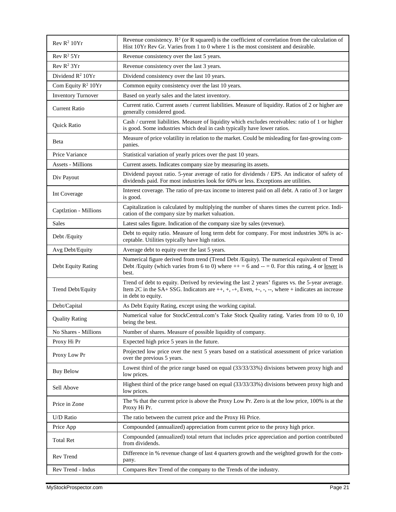| Rev R <sup>2</sup> 10Yr                  | Revenue consistency. $R^2$ (or R squared) is the coefficient of correlation from the calculation of<br>Hist 10Yr Rev Gr. Varies from 1 to 0 where 1 is the most consistent and desirable.                  |
|------------------------------------------|------------------------------------------------------------------------------------------------------------------------------------------------------------------------------------------------------------|
| Rev R <sup>2</sup> 5Yr                   | Revenue consistency over the last 5 years.                                                                                                                                                                 |
| Rev R <sup>2</sup> 3Yr                   | Revenue consistency over the last 3 years.                                                                                                                                                                 |
| Dividend $R^2$ 10Yr                      | Dividend consistency over the last 10 years.                                                                                                                                                               |
| Com Equity $R^2$ 10Yr                    | Common equity consistency over the last 10 years.                                                                                                                                                          |
| <b>Inventory Turnover</b>                | Based on yearly sales and the latest inventory.                                                                                                                                                            |
| <b>Current Ratio</b>                     | Current ratio. Current assets / current liabilities. Measure of liquidity. Ratios of 2 or higher are<br>generally considered good.                                                                         |
| Quick Ratio                              | Cash / current liabilities. Measure of liquidity which excludes receivables: ratio of 1 or higher<br>is good. Some industries which deal in cash typically have lower ratios.                              |
| Beta<br>panies.                          | Measure of price volatility in relation to the market. Could be misleading for fast-growing com-                                                                                                           |
| Price Variance                           | Statistical variation of yearly prices over the past 10 years.                                                                                                                                             |
| <b>Assets - Millions</b>                 | Current assets. Indicates company size by measuring its assets.                                                                                                                                            |
| Div Payout                               | Dividend payout ratio. 5-year average of ratio for dividends / EPS. An indicator of safety of<br>dividends paid. For most industries look for 60% or less. Exceptions are utilities.                       |
| Int Coverage<br>is good.                 | Interest coverage. The ratio of pre-tax income to interest paid on all debt. A ratio of 3 or larger                                                                                                        |
| Captlztion - Millions                    | Capitalization is calculated by multiplying the number of shares times the current price. Indi-<br>cation of the company size by market valuation.                                                         |
| <b>Sales</b>                             | Latest sales figure. Indication of the company size by sales (revenue).                                                                                                                                    |
| Debt /Equity                             | Debt to equity ratio. Measure of long term debt for company. For most industries 30% is ac-<br>ceptable. Utilities typically have high ratios.                                                             |
| Avg Debt/Equity                          | Average debt to equity over the last 5 years.                                                                                                                                                              |
| Debt Equity Rating<br>best.              | Numerical figure derived from trend (Trend Debt /Equity). The numerical equivalent of Trend<br>Debt /Equity (which varies from 6 to 0) where $++ = 6$ and $-- = 0$ . For this rating, 4 or <u>lower</u> is |
| Trend Debt/Equity<br>in debt to equity.  | Trend of debt to equity. Derived by reviewing the last 2 years' figures vs. the 5-year average.<br>Item 2C in the SA+ SSG. Indicators are $++, +, +, +$ Even, $+, -, -,$ where $+$ indicates an increase   |
| Debt/Capital                             | As Debt Equity Rating, except using the working capital.                                                                                                                                                   |
| <b>Quality Rating</b><br>being the best. | Numerical value for StockCentral.com's Take Stock Quality rating. Varies from 10 to 0, 10                                                                                                                  |
| No Shares - Millions                     | Number of shares. Measure of possible liquidity of company.                                                                                                                                                |
| Proxy Hi Pr                              | Expected high price 5 years in the future.                                                                                                                                                                 |
| Proxy Low Pr                             | Projected low price over the next 5 years based on a statistical assessment of price variation<br>over the previous 5 years.                                                                               |
| <b>Buy Below</b><br>low prices.          | Lowest third of the price range based on equal (33/33/33%) divisions between proxy high and                                                                                                                |
| Sell Above<br>low prices.                | Highest third of the price range based on equal (33/33/33%) divisions between proxy high and                                                                                                               |
| Price in Zone<br>Proxy Hi Pr.            | The % that the current price is above the Proxy Low Pr. Zero is at the low price, 100% is at the                                                                                                           |
| U/D Ratio                                | The ratio between the current price and the Proxy Hi Price.                                                                                                                                                |
| Price App                                | Compounded (annualized) appreciation from current price to the proxy high price.                                                                                                                           |
| <b>Total Ret</b><br>from dividends.      | Compounded (annualized) total return that includes price appreciation and portion contributed                                                                                                              |
| Rev Trend                                |                                                                                                                                                                                                            |
| pany.                                    | Difference in % revenue change of last 4 quarters growth and the weighted growth for the com-                                                                                                              |